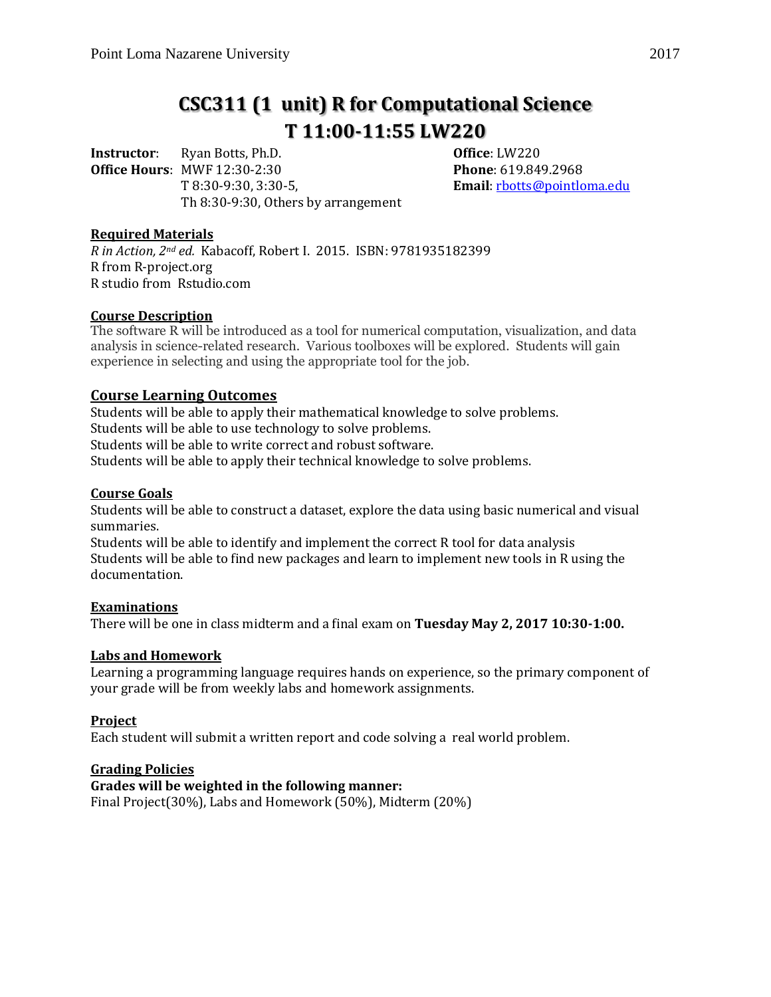# **CSC311 (1 unit) R for Computational Science T 11:00-11:55 LW220**

**Instructor**: Ryan Botts, Ph.D. **Office**: LW220 **Office Hours**: MWF 12:30-2:30 **Phone**: 619.849.2968 T 8:30-9:30, 3:30-5, **Email**: [rbotts@pointloma.edu](mailto:rbotts@pointloma.edu) Th 8:30-9:30, Others by arrangement

## **Required Materials**

*R in Action, 2nd ed.* Kabacoff, Robert I. 2015. ISBN: 9781935182399 R from R-project.org R studio from Rstudio.com

## **Course Description**

The software R will be introduced as a tool for numerical computation, visualization, and data analysis in science-related research. Various toolboxes will be explored. Students will gain experience in selecting and using the appropriate tool for the job.

# **Course Learning Outcomes**

Students will be able to apply their mathematical knowledge to solve problems. Students will be able to use technology to solve problems. Students will be able to write correct and robust software. Students will be able to apply their technical knowledge to solve problems.

# **Course Goals**

Students will be able to construct a dataset, explore the data using basic numerical and visual summaries.

Students will be able to identify and implement the correct R tool for data analysis Students will be able to find new packages and learn to implement new tools in R using the documentation.

### **Examinations**

There will be one in class midterm and a final exam on **Tuesday May 2, 2017 10:30-1:00.**

### **Labs and Homework**

Learning a programming language requires hands on experience, so the primary component of your grade will be from weekly labs and homework assignments.

### **Project**

Each student will submit a written report and code solving a real world problem.

# **Grading Policies**

### **Grades will be weighted in the following manner:**

Final Project(30%), Labs and Homework (50%), Midterm (20%)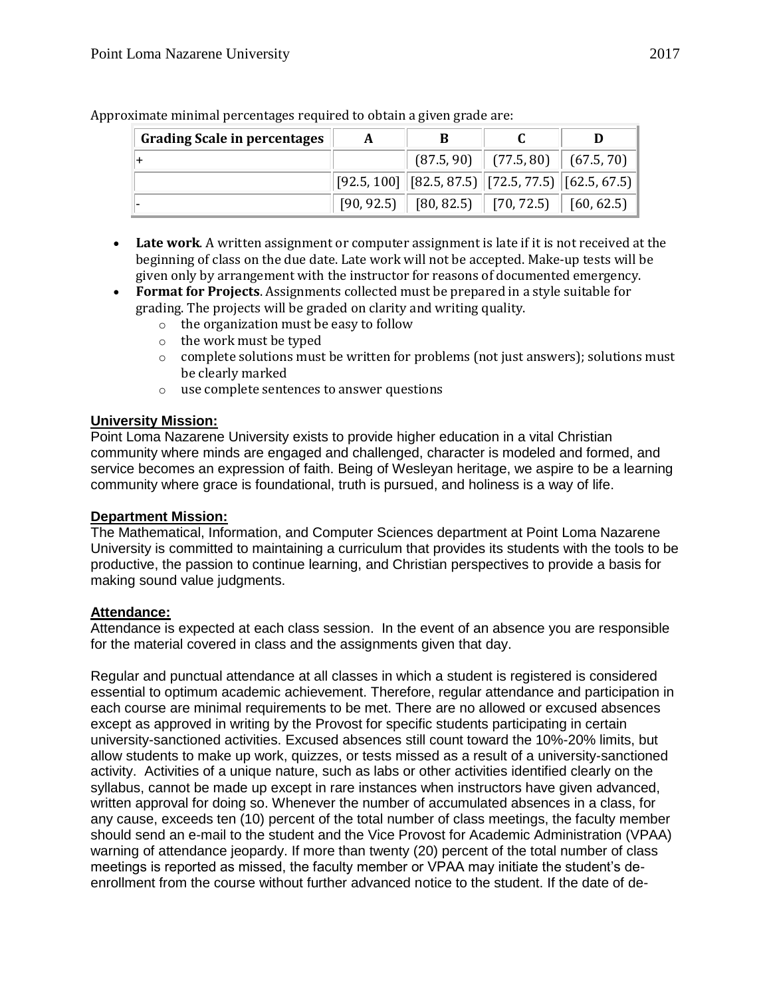| <b>Grading Scale in percentages</b> | A |                                                                                            |                                        |  |
|-------------------------------------|---|--------------------------------------------------------------------------------------------|----------------------------------------|--|
|                                     |   |                                                                                            | $(87.5, 90)$ $(77.5, 80)$ $(67.5, 70)$ |  |
|                                     |   | $\vert$ [92.5, 100] $\vert$ [82.5, 87.5) $\vert$ [72.5, 77.5) $\vert$ [62.5, 67.5) $\vert$ |                                        |  |
|                                     |   | $[90, 92.5]$ $[80, 82.5]$ $[70, 72.5]$ $[60, 62.5]$                                        |                                        |  |

Approximate minimal percentages required to obtain a given grade are:

- **Late work**. A written assignment or computer assignment is late if it is not received at the beginning of class on the due date. Late work will not be accepted. Make-up tests will be given only by arrangement with the instructor for reasons of documented emergency.
- **Format for Projects**. Assignments collected must be prepared in a style suitable for grading. The projects will be graded on clarity and writing quality.
	- o the organization must be easy to follow
	- o the work must be typed
	- $\circ$  complete solutions must be written for problems (not just answers); solutions must be clearly marked
	- o use complete sentences to answer questions

## **University Mission:**

Point Loma Nazarene University exists to provide higher education in a vital Christian community where minds are engaged and challenged, character is modeled and formed, and service becomes an expression of faith. Being of Wesleyan heritage, we aspire to be a learning community where grace is foundational, truth is pursued, and holiness is a way of life.

### **Department Mission:**

The Mathematical, Information, and Computer Sciences department at Point Loma Nazarene University is committed to maintaining a curriculum that provides its students with the tools to be productive, the passion to continue learning, and Christian perspectives to provide a basis for making sound value judgments.

## **Attendance:**

Attendance is expected at each class session. In the event of an absence you are responsible for the material covered in class and the assignments given that day.

Regular and punctual attendance at all classes in which a student is registered is considered essential to optimum academic achievement. Therefore, regular attendance and participation in each course are minimal requirements to be met. There are no allowed or excused absences except as approved in writing by the Provost for specific students participating in certain university-sanctioned activities. Excused absences still count toward the 10%-20% limits, but allow students to make up work, quizzes, or tests missed as a result of a university-sanctioned activity. Activities of a unique nature, such as labs or other activities identified clearly on the syllabus, cannot be made up except in rare instances when instructors have given advanced, written approval for doing so. Whenever the number of accumulated absences in a class, for any cause, exceeds ten (10) percent of the total number of class meetings, the faculty member should send an e-mail to the student and the Vice Provost for Academic Administration (VPAA) warning of attendance jeopardy. If more than twenty (20) percent of the total number of class meetings is reported as missed, the faculty member or VPAA may initiate the student's deenrollment from the course without further advanced notice to the student. If the date of de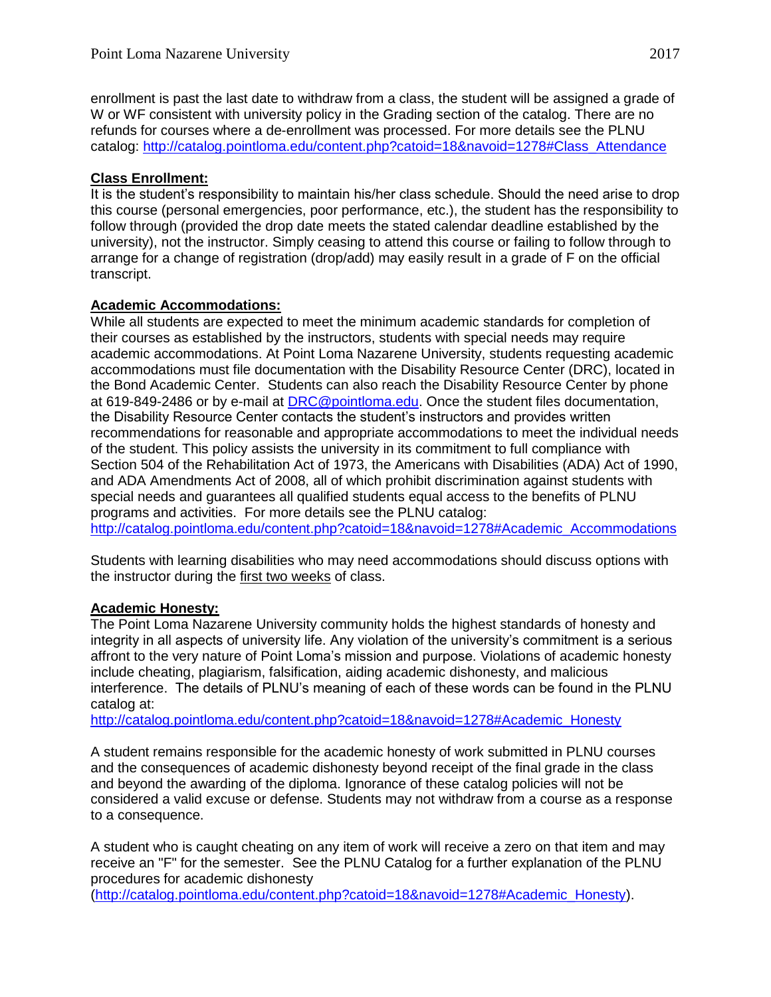enrollment is past the last date to withdraw from a class, the student will be assigned a grade of W or WF consistent with university policy in the Grading section of the catalog. There are no refunds for courses where a de-enrollment was processed. For more details see the PLNU catalog: [http://catalog.pointloma.edu/content.php?catoid=18&navoid=1278#Class\\_Attendance](http://catalog.pointloma.edu/content.php?catoid=18&navoid=1278#Class_Attendance)

# **Class Enrollment:**

It is the student's responsibility to maintain his/her class schedule. Should the need arise to drop this course (personal emergencies, poor performance, etc.), the student has the responsibility to follow through (provided the drop date meets the stated calendar deadline established by the university), not the instructor. Simply ceasing to attend this course or failing to follow through to arrange for a change of registration (drop/add) may easily result in a grade of F on the official transcript.

# **Academic Accommodations:**

While all students are expected to meet the minimum academic standards for completion of their courses as established by the instructors, students with special needs may require academic accommodations. At Point Loma Nazarene University, students requesting academic accommodations must file documentation with the Disability Resource Center (DRC), located in the Bond Academic Center. Students can also reach the Disability Resource Center by phone at 619-849-2486 or by e-mail at [DRC@pointloma.edu.](mailto:DRC@pointloma.edu) Once the student files documentation, the Disability Resource Center contacts the student's instructors and provides written recommendations for reasonable and appropriate accommodations to meet the individual needs of the student. This policy assists the university in its commitment to full compliance with Section 504 of the Rehabilitation Act of 1973, the Americans with Disabilities (ADA) Act of 1990, and ADA Amendments Act of 2008, all of which prohibit discrimination against students with special needs and guarantees all qualified students equal access to the benefits of PLNU programs and activities. For more details see the PLNU catalog: http://catalog.pointloma.edu/content.php?catoid=18&navoid=1278#Academic\_Accommodations

Students with learning disabilities who may need accommodations should discuss options with the instructor during the first two weeks of class.

# **Academic Honesty:**

The Point Loma Nazarene University community holds the highest standards of honesty and integrity in all aspects of university life. Any violation of the university's commitment is a serious affront to the very nature of Point Loma's mission and purpose. Violations of academic honesty include cheating, plagiarism, falsification, aiding academic dishonesty, and malicious interference. The details of PLNU's meaning of each of these words can be found in the PLNU catalog at:

[http://catalog.pointloma.edu/content.php?catoid=18&navoid=1278#Academic\\_Honesty](http://catalog.pointloma.edu/content.php?catoid=18&navoid=1278#Academic_Honesty)

A student remains responsible for the academic honesty of work submitted in PLNU courses and the consequences of academic dishonesty beyond receipt of the final grade in the class and beyond the awarding of the diploma. Ignorance of these catalog policies will not be considered a valid excuse or defense. Students may not withdraw from a course as a response to a consequence.

A student who is caught cheating on any item of work will receive a zero on that item and may receive an "F" for the semester. See the PLNU Catalog for a further explanation of the PLNU procedures for academic dishonesty

[\(http://catalog.pointloma.edu/content.php?catoid=18&navoid=1278#Academic\\_Honesty\)](http://catalog.pointloma.edu/content.php?catoid=18&navoid=1278#Academic_Honesty).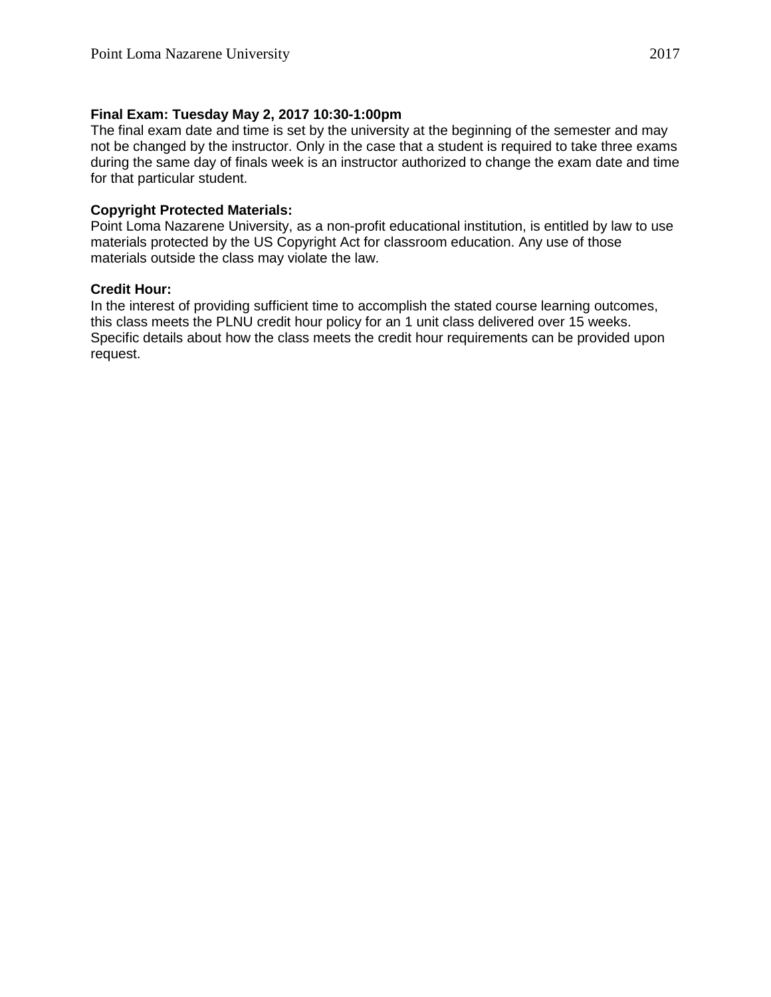## **Final Exam: Tuesday May 2, 2017 10:30-1:00pm**

The final exam date and time is set by the university at the beginning of the semester and may not be changed by the instructor. Only in the case that a student is required to take three exams during the same day of finals week is an instructor authorized to change the exam date and time for that particular student.

## **Copyright Protected Materials:**

Point Loma Nazarene University, as a non-profit educational institution, is entitled by law to use materials protected by the US Copyright Act for classroom education. Any use of those materials outside the class may violate the law.

## **Credit Hour:**

In the interest of providing sufficient time to accomplish the stated course learning outcomes, this class meets the PLNU credit hour policy for an 1 unit class delivered over 15 weeks. Specific details about how the class meets the credit hour requirements can be provided upon request.